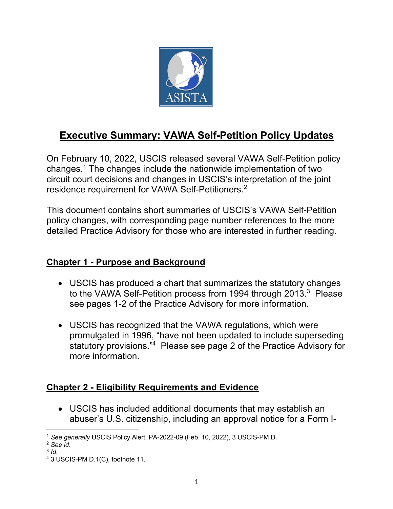

# **Executive Summary: VAWA Self-Petition Policy Updates**

On February 10, 2022, USCIS released several VAWA Self-Petition policy changes.1 The changes include the nationwide implementation of two circuit court decisions and changes in USCIS's interpretation of the joint residence requirement for VAWA Self-Petitioners.<sup>2</sup>

This document contains short summaries of USCIS's VAWA Self-Petition policy changes, with corresponding page number references to the more detailed Practice Advisory for those who are interested in further reading.

#### **Chapter 1 - Purpose and Background**

- USCIS has produced a chart that summarizes the statutory changes to the VAWA Self-Petition process from 1994 through 2013.<sup>3</sup> Please see pages 1-2 of the Practice Advisory for more information.
- USCIS has recognized that the VAWA regulations, which were promulgated in 1996, "have not been updated to include superseding statutory provisions."4 Please see page 2 of the Practice Advisory for more information.

#### **Chapter 2 - Eligibility Requirements and Evidence**

• USCIS has included additional documents that may establish an abuser's U.S. citizenship, including an approval notice for a Form I-

<sup>1</sup> *See generally* USCIS Policy Alert, PA-2022-09 (Feb. 10, 2022), 3 USCIS-PM D.

<sup>2</sup> *See id*.

<sup>3</sup> *Id*.

<sup>4</sup> 3 USCIS-PM D.1(C), footnote 11.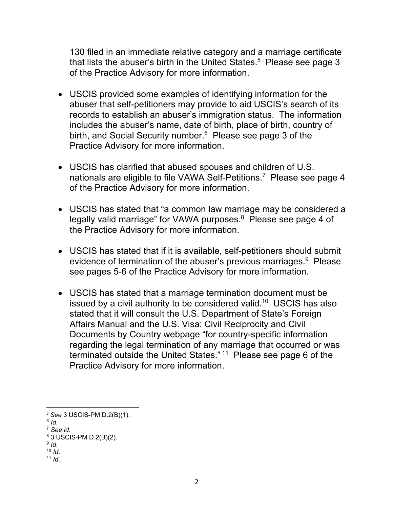130 filed in an immediate relative category and a marriage certificate that lists the abuser's birth in the United States.<sup>5</sup> Please see page 3 of the Practice Advisory for more information.

- USCIS provided some examples of identifying information for the abuser that self-petitioners may provide to aid USCIS's search of its records to establish an abuser's immigration status. The information includes the abuser's name, date of birth, place of birth, country of birth, and Social Security number.<sup>6</sup> Please see page 3 of the Practice Advisory for more information.
- USCIS has clarified that abused spouses and children of U.S. nationals are eligible to file VAWA Self-Petitions.<sup>7</sup> Please see page 4 of the Practice Advisory for more information.
- USCIS has stated that "a common law marriage may be considered a legally valid marriage" for VAWA purposes.<sup>8</sup> Please see page 4 of the Practice Advisory for more information.
- USCIS has stated that if it is available, self-petitioners should submit evidence of termination of the abuser's previous marriages.<sup>9</sup> Please see pages 5-6 of the Practice Advisory for more information.
- USCIS has stated that a marriage termination document must be issued by a civil authority to be considered valid.<sup>10</sup> USCIS has also stated that it will consult the U.S. Department of State's Foreign Affairs Manual and the U.S. Visa: Civil Reciprocity and Civil Documents by Country webpage "for country-specific information regarding the legal termination of any marriage that occurred or was terminated outside the United States." 11 Please see page 6 of the Practice Advisory for more information.

 $11$  *Id.* 

<sup>5</sup> *See* 3 USCIS-PM D.2(B)(1).

 $6$  *Id.* 

<sup>7</sup> *See id*.

<sup>8</sup> 3 USCIS-PM D.2(B)(2).

<sup>9</sup> *Id*.

 $10$  *Id.*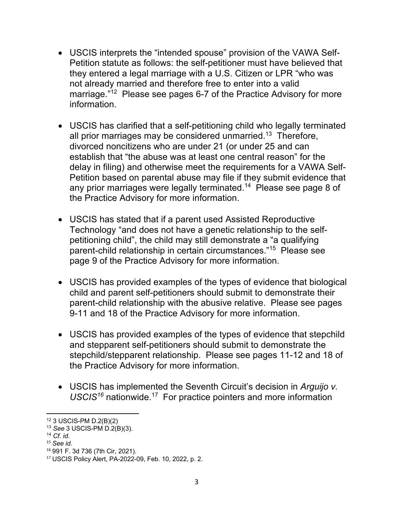- USCIS interprets the "intended spouse" provision of the VAWA Self-Petition statute as follows: the self-petitioner must have believed that they entered a legal marriage with a U.S. Citizen or LPR "who was not already married and therefore free to enter into a valid marriage."12 Please see pages 6-7 of the Practice Advisory for more information.
- USCIS has clarified that a self-petitioning child who legally terminated all prior marriages may be considered unmarried.<sup>13</sup> Therefore, divorced noncitizens who are under 21 (or under 25 and can establish that "the abuse was at least one central reason" for the delay in filing) and otherwise meet the requirements for a VAWA Self-Petition based on parental abuse may file if they submit evidence that any prior marriages were legally terminated.<sup>14</sup> Please see page 8 of the Practice Advisory for more information.
- USCIS has stated that if a parent used Assisted Reproductive Technology "and does not have a genetic relationship to the selfpetitioning child", the child may still demonstrate a "a qualifying parent-child relationship in certain circumstances."15 Please see page 9 of the Practice Advisory for more information.
- USCIS has provided examples of the types of evidence that biological child and parent self-petitioners should submit to demonstrate their parent-child relationship with the abusive relative. Please see pages 9-11 and 18 of the Practice Advisory for more information.
- USCIS has provided examples of the types of evidence that stepchild and stepparent self-petitioners should submit to demonstrate the stepchild/stepparent relationship. Please see pages 11-12 and 18 of the Practice Advisory for more information.
- USCIS has implemented the Seventh Circuit's decision in *Arguijo v. USCIS16* nationwide.17 For practice pointers and more information

 $12$  3 USCIS-PM D.2(B)(2)

<sup>13</sup> *See* 3 USCIS-PM D.2(B)(3).

<sup>14</sup> *Cf*. *id*.

<sup>15</sup> *See id*.

<sup>16</sup> 991 F. 3d 736 (7th Cir, 2021).

<sup>17</sup> USCIS Policy Alert, PA-2022-09, Feb. 10, 2022, p. 2.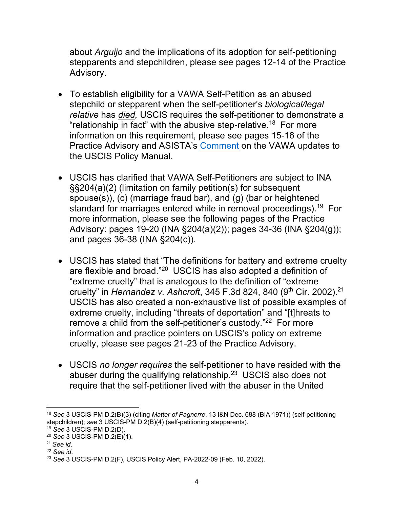about *Arguijo* and the implications of its adoption for self-petitioning stepparents and stepchildren, please see pages 12-14 of the Practice Advisory.

- To establish eligibility for a VAWA Self-Petition as an abused stepchild or stepparent when the self-petitioner's *biological/legal relative* has *died,* USCIS requires the self-petitioner to demonstrate a "relationship in fact" with the abusive step-relative.<sup>18</sup> For more information on this requirement, please see pages 15-16 of the Practice Advisory and ASISTA's Comment on the VAWA updates to the USCIS Policy Manual.
- USCIS has clarified that VAWA Self-Petitioners are subject to INA §§204(a)(2) (limitation on family petition(s) for subsequent spouse(s)), (c) (marriage fraud bar), and (g) (bar or heightened standard for marriages entered while in removal proceedings).<sup>19</sup> For more information, please see the following pages of the Practice Advisory: pages 19-20 (INA §204(a)(2)); pages 34-36 (INA §204(g)); and pages 36-38 (INA §204(c)).
- USCIS has stated that "The definitions for battery and extreme cruelty are flexible and broad."20 USCIS has also adopted a definition of "extreme cruelty" that is analogous to the definition of "extreme cruelty" in *Hernandez v. Ashcroft*, 345 F.3d 824, 840 (9<sup>th</sup> Cir. 2002).<sup>21</sup> USCIS has also created a non-exhaustive list of possible examples of extreme cruelty, including "threats of deportation" and "[t]hreats to remove a child from the self-petitioner's custody."<sup>22</sup> For more information and practice pointers on USCIS's policy on extreme cruelty, please see pages 21-23 of the Practice Advisory.
- USCIS *no longer requires* the self-petitioner to have resided with the abuser during the qualifying relationship.23 USCIS also does not require that the self-petitioner lived with the abuser in the United

<sup>18</sup> *See* 3 USCIS-PM D.2(B)(3) (citing *Matter of Pagnerre*, 13 I&N Dec. 688 (BIA 1971)) (self-petitioning stepchildren); *see* 3 USCIS-PM D.2(B)(4) (self-petitioning stepparents).

<sup>19</sup> *See* 3 USCIS-PM D.2(D).

<sup>20</sup> *See* 3 USCIS-PM D.2(E)(1).

<sup>21</sup> *See id*.

<sup>22</sup> *See id*.

<sup>23</sup> *See* 3 USCIS-PM D.2(F), USCIS Policy Alert, PA-2022-09 (Feb. 10, 2022).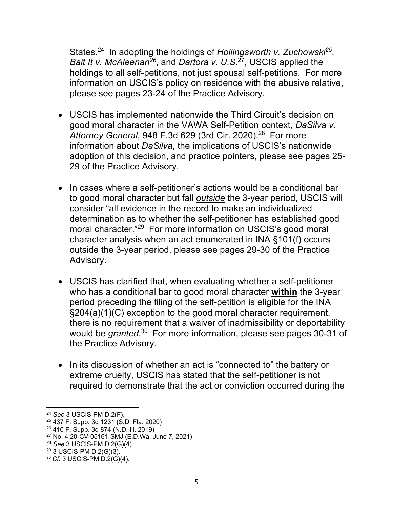States.<sup>24</sup> In adopting the holdings of *Hollingsworth v. Zuchowski*<sup>25</sup>, *Bait It v. McAleenan26*, and *Dartora v. U.S*. 27, USCIS applied the holdings to all self-petitions, not just spousal self-petitions. For more information on USCIS's policy on residence with the abusive relative, please see pages 23-24 of the Practice Advisory.

- USCIS has implemented nationwide the Third Circuit's decision on good moral character in the VAWA Self-Petition context, *DaSilva v. Attorney General*, 948 F.3d 629 (3rd Cir. 2020). 28 For more information about *DaSilva*, the implications of USCIS's nationwide adoption of this decision, and practice pointers, please see pages 25- 29 of the Practice Advisory.
- In cases where a self-petitioner's actions would be a conditional bar to good moral character but fall *outside* the 3-year period, USCIS will consider "all evidence in the record to make an individualized determination as to whether the self-petitioner has established good moral character."29 For more information on USCIS's good moral character analysis when an act enumerated in INA §101(f) occurs outside the 3-year period, please see pages 29-30 of the Practice Advisory.
- USCIS has clarified that, when evaluating whether a self-petitioner who has a conditional bar to good moral character **within** the 3-year period preceding the filing of the self-petition is eligible for the INA §204(a)(1)(C) exception to the good moral character requirement, there is no requirement that a waiver of inadmissibility or deportability would be *granted*. 30 For more information, please see pages 30-31 of the Practice Advisory.
- In its discussion of whether an act is "connected to" the battery or extreme cruelty, USCIS has stated that the self-petitioner is not required to demonstrate that the act or conviction occurred during the

<sup>24</sup> *See* 3 USCIS-PM D.2(F).

<sup>25</sup> 437 F. Supp. 3d 1231 (S.D. Fla. 2020)

<sup>26</sup> 410 F. Supp. 3d 874 (N.D. Ill. 2019)

<sup>27</sup> No. 4:20-CV-05161-SMJ (E.D.Wa. June 7, 2021)

<sup>28</sup> *See* 3 USCIS-PM D.2(G)(4).

<sup>29</sup> 3 USCIS-PM D.2(G)(3).

<sup>30</sup> *Cf*. 3 USCIS-PM D.2(G)(4).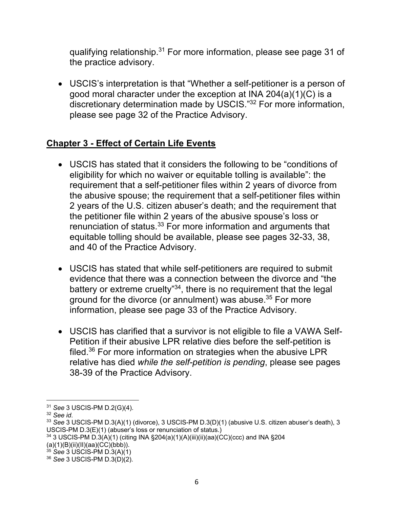qualifying relationship.31 For more information, please see page 31 of the practice advisory.

• USCIS's interpretation is that "Whether a self-petitioner is a person of good moral character under the exception at INA 204(a)(1)(C) is a discretionary determination made by USCIS."<sup>32</sup> For more information, please see page 32 of the Practice Advisory.

# **Chapter 3 - Effect of Certain Life Events**

- USCIS has stated that it considers the following to be "conditions of eligibility for which no waiver or equitable tolling is available": the requirement that a self-petitioner files within 2 years of divorce from the abusive spouse; the requirement that a self-petitioner files within 2 years of the U.S. citizen abuser's death; and the requirement that the petitioner file within 2 years of the abusive spouse's loss or renunciation of status.<sup>33</sup> For more information and arguments that equitable tolling should be available, please see pages 32-33, 38, and 40 of the Practice Advisory.
- USCIS has stated that while self-petitioners are required to submit evidence that there was a connection between the divorce and "the battery or extreme cruelty"34, there is no requirement that the legal ground for the divorce (or annulment) was abuse.35 For more information, please see page 33 of the Practice Advisory.
- USCIS has clarified that a survivor is not eligible to file a VAWA Self-Petition if their abusive LPR relative dies before the self-petition is filed.<sup>36</sup> For more information on strategies when the abusive LPR relative has died *while the self-petition is pending*, please see pages 38-39 of the Practice Advisory.

<sup>31</sup> *See* 3 USCIS-PM D.2(G)(4).

<sup>32</sup> *See id*.

<sup>33</sup> *See* 3 USCIS-PM D.3(A)(1) (divorce), 3 USCIS-PM D.3(D)(1) (abusive U.S. citizen abuser's death), 3 USCIS-PM D.3(E)(1) (abuser's loss or renunciation of status.)

<sup>34</sup> 3 USCIS-PM D.3(A)(1) (citing INA §204(a)(1)(A)(iii)(ii)(aa)(CC)(ccc) and INA §204 (a)(1)(B)(ii)(II)(aa)(CC)(bbb)).

<sup>35</sup> *See* 3 USCIS-PM D.3(A)(1)

<sup>36</sup> *See* 3 USCIS-PM D.3(D)(2).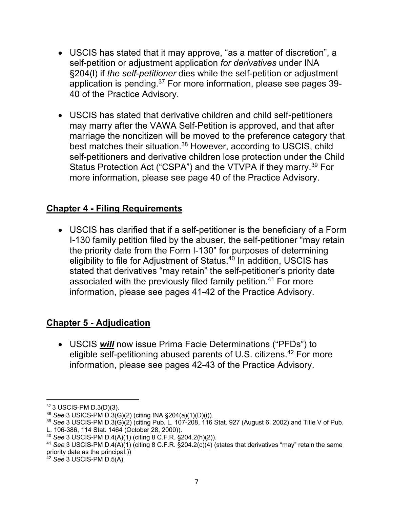- USCIS has stated that it may approve, "as a matter of discretion", a self-petition or adjustment application *for derivatives* under INA §204(l) if *the self-petitioner* dies while the self-petition or adjustment application is pending.37 For more information, please see pages 39- 40 of the Practice Advisory.
- USCIS has stated that derivative children and child self-petitioners may marry after the VAWA Self-Petition is approved, and that after marriage the noncitizen will be moved to the preference category that best matches their situation.<sup>38</sup> However, according to USCIS, child self-petitioners and derivative children lose protection under the Child Status Protection Act ("CSPA") and the VTVPA if they marry.<sup>39</sup> For more information, please see page 40 of the Practice Advisory.

## **Chapter 4 - Filing Requirements**

• USCIS has clarified that if a self-petitioner is the beneficiary of a Form I-130 family petition filed by the abuser, the self-petitioner "may retain the priority date from the Form I-130" for purposes of determining eligibility to file for Adjustment of Status.<sup>40</sup> In addition, USCIS has stated that derivatives "may retain" the self-petitioner's priority date associated with the previously filed family petition.<sup>41</sup> For more information, please see pages 41-42 of the Practice Advisory.

# **Chapter 5 - Adjudication**

• USCIS *will* now issue Prima Facie Determinations ("PFDs") to eligible self-petitioning abused parents of U.S. citizens.<sup>42</sup> For more information, please see pages 42-43 of the Practice Advisory.

<sup>37</sup> 3 USCIS-PM D.3(D)(3).

<sup>38</sup> *See* 3 USICS-PM D.3(G)(2) (citing INA §204(a)(1)(D)(i)).

<sup>39</sup> *See* 3 USCIS-PM D.3(G)(2) (citing Pub. L. 107-208, 116 Stat. 927 (August 6, 2002) and Title V of Pub.

L. 106-386, 114 Stat. 1464 (October 28, 2000)).

<sup>40</sup> *See* 3 USCIS-PM D.4(A)(1) (citing 8 C.F.R. §204.2(h)(2)).

<sup>41</sup> *See* 3 USCIS-PM D.4(A)(1) (citing 8 C.F.R. §204.2(c)(4) (states that derivatives "may" retain the same priority date as the principal.))

<sup>42</sup> *See* 3 USCIS-PM D.5(A).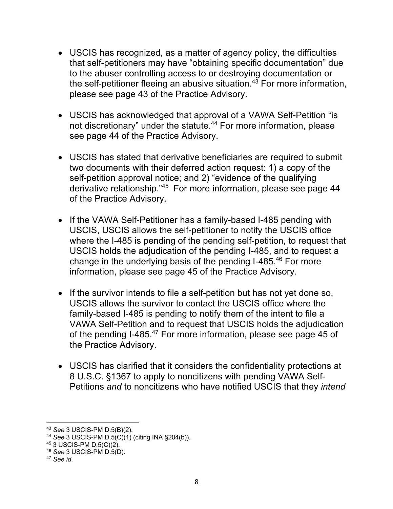- USCIS has recognized, as a matter of agency policy, the difficulties that self-petitioners may have "obtaining specific documentation" due to the abuser controlling access to or destroying documentation or the self-petitioner fleeing an abusive situation.<sup>43</sup> For more information, please see page 43 of the Practice Advisory.
- USCIS has acknowledged that approval of a VAWA Self-Petition "is not discretionary" under the statute.<sup>44</sup> For more information, please see page 44 of the Practice Advisory.
- USCIS has stated that derivative beneficiaries are required to submit two documents with their deferred action request: 1) a copy of the self-petition approval notice; and 2) "evidence of the qualifying derivative relationship."45 For more information, please see page 44 of the Practice Advisory.
- If the VAWA Self-Petitioner has a family-based I-485 pending with USCIS, USCIS allows the self-petitioner to notify the USCIS office where the I-485 is pending of the pending self-petition, to request that USCIS holds the adjudication of the pending I-485, and to request a change in the underlying basis of the pending I-485.46 For more information, please see page 45 of the Practice Advisory.
- If the survivor intends to file a self-petition but has not yet done so, USCIS allows the survivor to contact the USCIS office where the family-based I-485 is pending to notify them of the intent to file a VAWA Self-Petition and to request that USCIS holds the adjudication of the pending I-485.<sup>47</sup> For more information, please see page 45 of the Practice Advisory.
- USCIS has clarified that it considers the confidentiality protections at 8 U.S.C. §1367 to apply to noncitizens with pending VAWA Self-Petitions *and* to noncitizens who have notified USCIS that they *intend*

<sup>43</sup> *See* 3 USCIS-PM D.5(B)(2).

<sup>44</sup> *See* 3 USCIS-PM D.5(C)(1) (citing INA §204(b)).

<sup>45</sup> 3 USCIS-PM D.5(C)(2).

<sup>46</sup> *See* 3 USCIS-PM D.5(D).

<sup>47</sup> *See id*.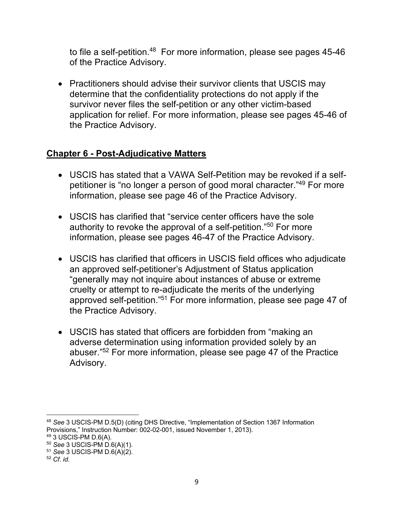to file a self-petition.<sup>48</sup> For more information, please see pages 45-46 of the Practice Advisory.

• Practitioners should advise their survivor clients that USCIS may determine that the confidentiality protections do not apply if the survivor never files the self-petition or any other victim-based application for relief. For more information, please see pages 45-46 of the Practice Advisory.

## **Chapter 6 - Post-Adjudicative Matters**

- USCIS has stated that a VAWA Self-Petition may be revoked if a selfpetitioner is "no longer a person of good moral character."49 For more information, please see page 46 of the Practice Advisory.
- USCIS has clarified that "service center officers have the sole authority to revoke the approval of a self-petition."50 For more information, please see pages 46-47 of the Practice Advisory.
- USCIS has clarified that officers in USCIS field offices who adjudicate an approved self-petitioner's Adjustment of Status application "generally may not inquire about instances of abuse or extreme cruelty or attempt to re-adjudicate the merits of the underlying approved self-petition."51 For more information, please see page 47 of the Practice Advisory.
- USCIS has stated that officers are forbidden from "making an adverse determination using information provided solely by an abuser."52 For more information, please see page 47 of the Practice Advisory.

<sup>48</sup> *See* 3 USCIS-PM D.5(D) (citing DHS Directive, "Implementation of Section 1367 Information Provisions," Instruction Number: 002-02-001, issued November 1, 2013).

<sup>49</sup> 3 USCIS-PM D.6(A).

<sup>50</sup> *See* 3 USCIS-PM D.6(A)(1).

<sup>51</sup> *See* 3 USCIS-PM D.6(A)(2).

<sup>52</sup> *Cf*. *id*.